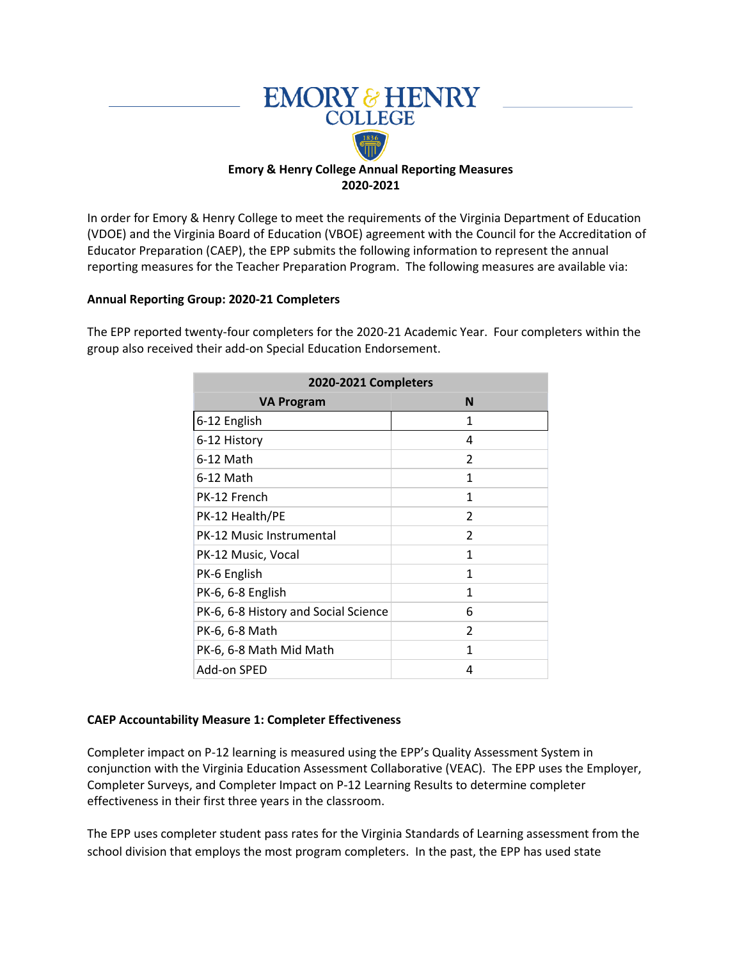

In order for Emory & Henry College to meet the requirements of the Virginia Department of Education (VDOE) and the Virginia Board of Education (VBOE) agreement with the Council for the Accreditation of Educator Preparation (CAEP), the EPP submits the following information to represent the annual reporting measures for the Teacher Preparation Program. The following measures are available via:

### **Annual Reporting Group: 2020-21 Completers**

The EPP reported twenty-four completers for the 2020-21 Academic Year. Four completers within the group also received their add-on Special Education Endorsement.

| 2020-2021 Completers                 |                |  |  |  |  |  |
|--------------------------------------|----------------|--|--|--|--|--|
| VA Program                           | N              |  |  |  |  |  |
| 6-12 English                         | 1              |  |  |  |  |  |
| 6-12 History                         | 4              |  |  |  |  |  |
| 6-12 Math                            | $\mathfrak{p}$ |  |  |  |  |  |
| 6-12 Math                            | 1              |  |  |  |  |  |
| PK-12 French                         | 1              |  |  |  |  |  |
| PK-12 Health/PE                      | 2              |  |  |  |  |  |
| PK-12 Music Instrumental             | 2              |  |  |  |  |  |
| PK-12 Music, Vocal                   | 1              |  |  |  |  |  |
| PK-6 English                         | 1              |  |  |  |  |  |
| PK-6, 6-8 English                    | 1              |  |  |  |  |  |
| PK-6, 6-8 History and Social Science | 6              |  |  |  |  |  |
| PK-6, 6-8 Math                       | 2              |  |  |  |  |  |
| PK-6, 6-8 Math Mid Math              | 1              |  |  |  |  |  |
| Add-on SPED                          | 4              |  |  |  |  |  |

#### **CAEP Accountability Measure 1: Completer Effectiveness**

Completer impact on P-12 learning is measured using the EPP's Quality Assessment System in conjunction with the Virginia Education Assessment Collaborative (VEAC). The EPP uses the Employer, Completer Surveys, and Completer Impact on P-12 Learning Results to determine completer effectiveness in their first three years in the classroom.

The EPP uses completer student pass rates for the Virginia Standards of Learning assessment from the school division that employs the most program completers. In the past, the EPP has used state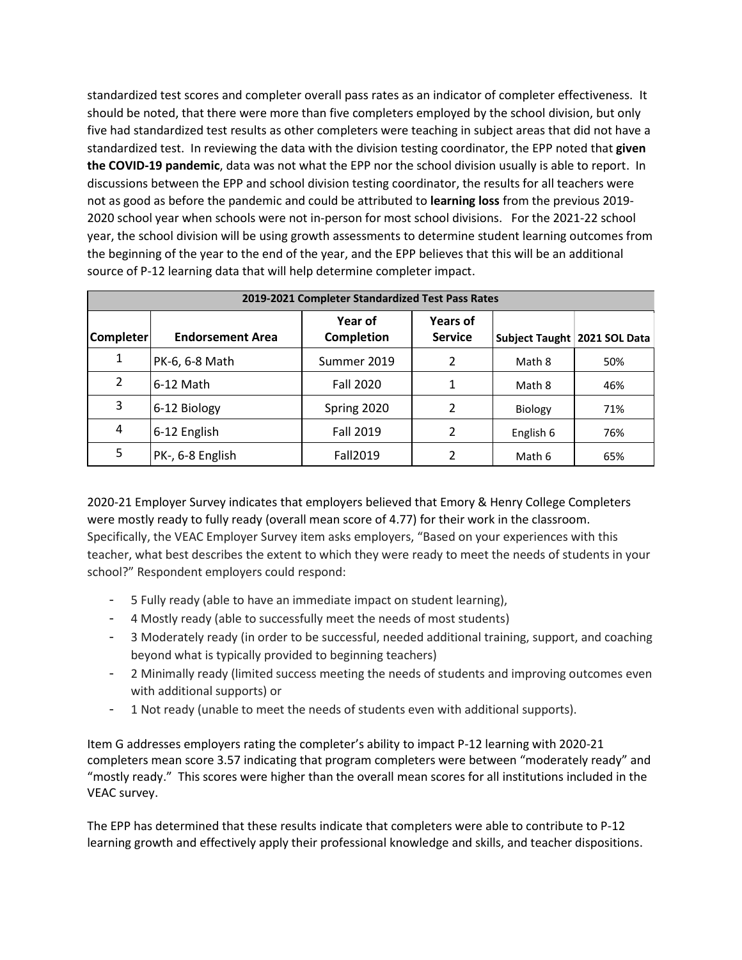standardized test scores and completer overall pass rates as an indicator of completer effectiveness. It should be noted, that there were more than five completers employed by the school division, but only five had standardized test results as other completers were teaching in subject areas that did not have a standardized test. In reviewing the data with the division testing coordinator, the EPP noted that **given the COVID-19 pandemic**, data was not what the EPP nor the school division usually is able to report. In discussions between the EPP and school division testing coordinator, the results for all teachers were not as good as before the pandemic and could be attributed to **learning loss** from the previous 2019- 2020 school year when schools were not in-person for most school divisions. For the 2021-22 school year, the school division will be using growth assessments to determine student learning outcomes from the beginning of the year to the end of the year, and the EPP believes that this will be an additional source of P-12 learning data that will help determine completer impact.

|                  | 2019-2021 Completer Standardized Test Pass Rates |                       |                                   |           |                              |  |  |  |
|------------------|--------------------------------------------------|-----------------------|-----------------------------------|-----------|------------------------------|--|--|--|
| <b>Completer</b> | <b>Endorsement Area</b>                          | Year of<br>Completion | <b>Years of</b><br><b>Service</b> |           | Subject Taught 2021 SOL Data |  |  |  |
| 1                | PK-6, 6-8 Math                                   | Summer 2019           | $\mathfrak{p}$                    | Math 8    | 50%                          |  |  |  |
| 2                | 6-12 Math                                        | <b>Fall 2020</b>      |                                   | Math 8    | 46%                          |  |  |  |
| 3                | 6-12 Biology                                     | Spring 2020           | 2                                 | Biology   | 71%                          |  |  |  |
| 4                | 6-12 English                                     | <b>Fall 2019</b>      | 2                                 | English 6 | 76%                          |  |  |  |
| 5                | PK-, 6-8 English                                 | <b>Fall2019</b>       | 2                                 | Math 6    | 65%                          |  |  |  |

2020-21 Employer Survey indicates that employers believed that Emory & Henry College Completers were mostly ready to fully ready (overall mean score of 4.77) for their work in the classroom. Specifically, the VEAC Employer Survey item asks employers, "Based on your experiences with this teacher, what best describes the extent to which they were ready to meet the needs of students in your school?" Respondent employers could respond:

- 5 Fully ready (able to have an immediate impact on student learning),
- 4 Mostly ready (able to successfully meet the needs of most students)
- 3 Moderately ready (in order to be successful, needed additional training, support, and coaching beyond what is typically provided to beginning teachers)
- 2 Minimally ready (limited success meeting the needs of students and improving outcomes even with additional supports) or
- 1 Not ready (unable to meet the needs of students even with additional supports).

Item G addresses employers rating the completer's ability to impact P-12 learning with 2020-21 completers mean score 3.57 indicating that program completers were between "moderately ready" and "mostly ready." This scores were higher than the overall mean scores for all institutions included in the VEAC survey.

The EPP has determined that these results indicate that completers were able to contribute to P-12 learning growth and effectively apply their professional knowledge and skills, and teacher dispositions.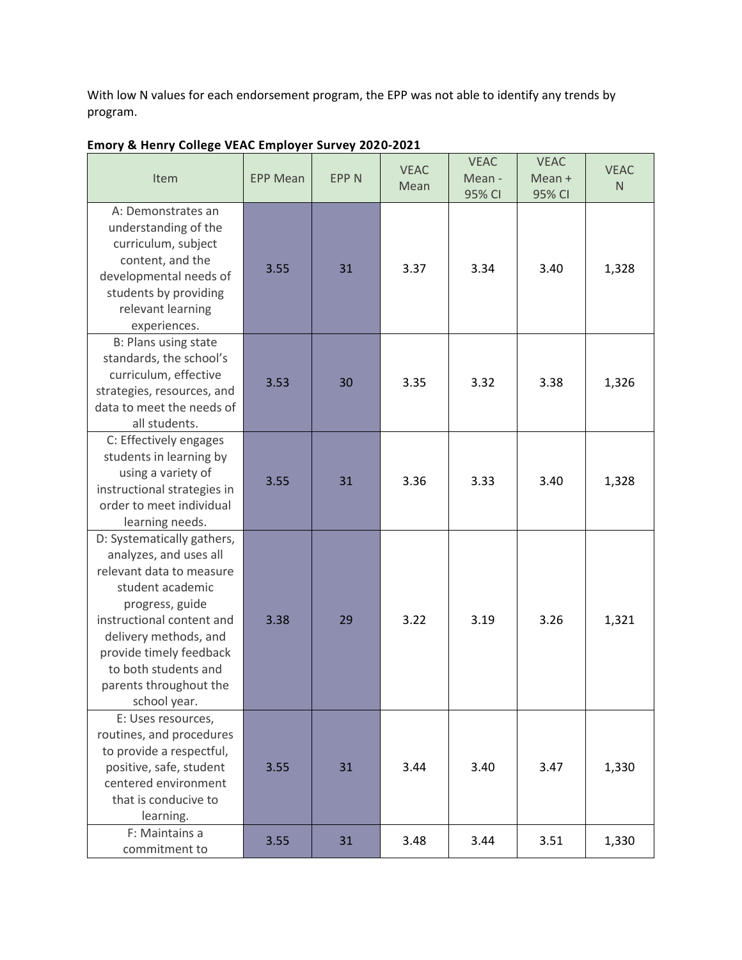With low N values for each endorsement program, the EPP was not able to identify any trends by program.

| Item                                                                                                                                                                                                                                                                       | <b>EPP Mean</b> | <b>EPP N</b> | <b>VEAC</b><br>Mean | <b>VEAC</b><br>Mean -<br>95% CI | <b>VEAC</b><br>$Mean +$<br>95% CI | <b>VEAC</b><br>N <sub>1</sub> |
|----------------------------------------------------------------------------------------------------------------------------------------------------------------------------------------------------------------------------------------------------------------------------|-----------------|--------------|---------------------|---------------------------------|-----------------------------------|-------------------------------|
| A: Demonstrates an<br>understanding of the<br>curriculum, subject<br>content, and the<br>developmental needs of<br>students by providing<br>relevant learning<br>experiences.                                                                                              | 3.55            | 31           | 3.37                | 3.34                            | 3.40                              | 1,328                         |
| B: Plans using state<br>standards, the school's<br>curriculum, effective<br>strategies, resources, and<br>data to meet the needs of<br>all students.                                                                                                                       | 3.53            | 30           | 3.35                | 3.32                            | 3.38                              | 1,326                         |
| C: Effectively engages<br>students in learning by<br>using a variety of<br>instructional strategies in<br>order to meet individual<br>learning needs.                                                                                                                      | 3.55            | 31           | 3.36                | 3.33                            | 3.40                              | 1,328                         |
| D: Systematically gathers,<br>analyzes, and uses all<br>relevant data to measure<br>student academic<br>progress, guide<br>instructional content and<br>delivery methods, and<br>provide timely feedback<br>to both students and<br>parents throughout the<br>school year. | 3.38            | 29           | 3.22                | 3.19                            | 3.26                              | 1,321                         |
| E: Uses resources,<br>routines, and procedures<br>to provide a respectful,<br>positive, safe, student<br>centered environment<br>that is conducive to<br>learning.                                                                                                         | 3.55            | 31           | 3.44                | 3.40                            | 3.47                              | 1,330                         |
| F: Maintains a<br>commitment to                                                                                                                                                                                                                                            | 3.55            | 31           | 3.48                | 3.44                            | 3.51                              | 1,330                         |

# **Emory & Henry College VEAC Employer Survey 2020-2021**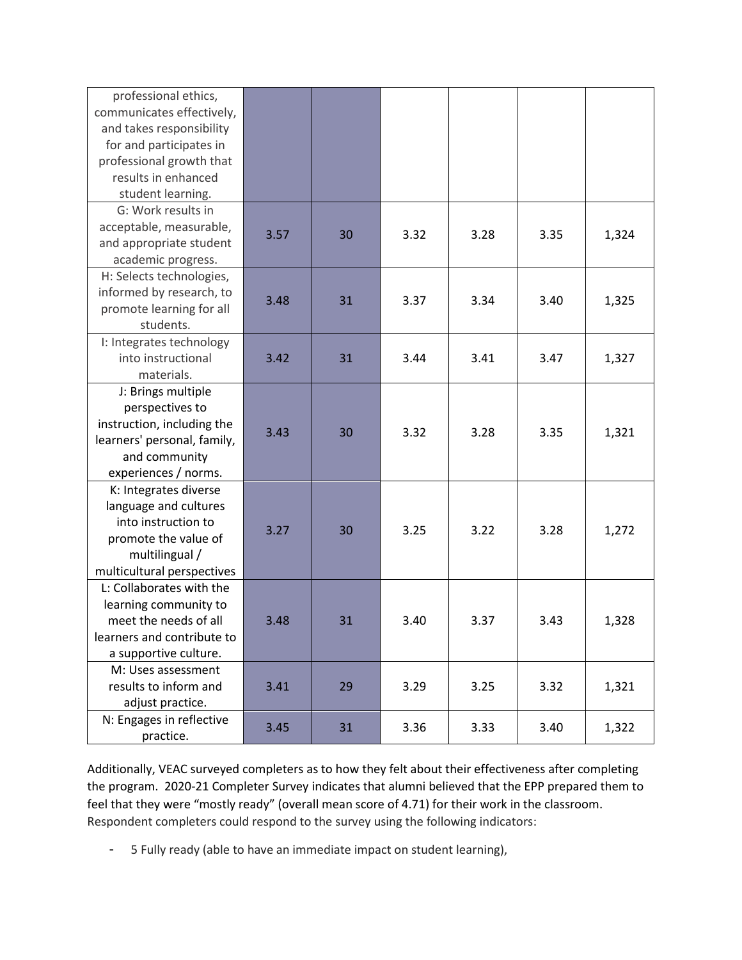| professional ethics,<br>communicates effectively,<br>and takes responsibility<br>for and participates in<br>professional growth that<br>results in enhanced<br>student learning. |      |    |      |      |      |       |
|----------------------------------------------------------------------------------------------------------------------------------------------------------------------------------|------|----|------|------|------|-------|
| G: Work results in<br>acceptable, measurable,<br>and appropriate student<br>academic progress.                                                                                   | 3.57 | 30 | 3.32 | 3.28 | 3.35 | 1,324 |
| H: Selects technologies,<br>informed by research, to<br>promote learning for all<br>students.                                                                                    | 3.48 | 31 | 3.37 | 3.34 | 3.40 | 1,325 |
| I: Integrates technology<br>into instructional<br>materials.                                                                                                                     | 3.42 | 31 | 3.44 | 3.41 | 3.47 | 1,327 |
| J: Brings multiple<br>perspectives to<br>instruction, including the<br>learners' personal, family,<br>and community<br>experiences / norms.                                      | 3.43 | 30 | 3.32 | 3.28 | 3.35 | 1,321 |
| K: Integrates diverse<br>language and cultures<br>into instruction to<br>promote the value of<br>multilingual /<br>multicultural perspectives                                    | 3.27 | 30 | 3.25 | 3.22 | 3.28 | 1,272 |
| L: Collaborates with the<br>learning community to<br>meet the needs of all<br>learners and contribute to<br>a supportive culture.                                                | 3.48 | 31 | 3.40 | 3.37 | 3.43 | 1,328 |
| M: Uses assessment<br>results to inform and<br>adjust practice.                                                                                                                  | 3.41 | 29 | 3.29 | 3.25 | 3.32 | 1,321 |
| N: Engages in reflective<br>practice.                                                                                                                                            | 3.45 | 31 | 3.36 | 3.33 | 3.40 | 1,322 |

Additionally, VEAC surveyed completers as to how they felt about their effectiveness after completing the program. 2020-21 Completer Survey indicates that alumni believed that the EPP prepared them to feel that they were "mostly ready" (overall mean score of 4.71) for their work in the classroom. Respondent completers could respond to the survey using the following indicators:

- 5 Fully ready (able to have an immediate impact on student learning),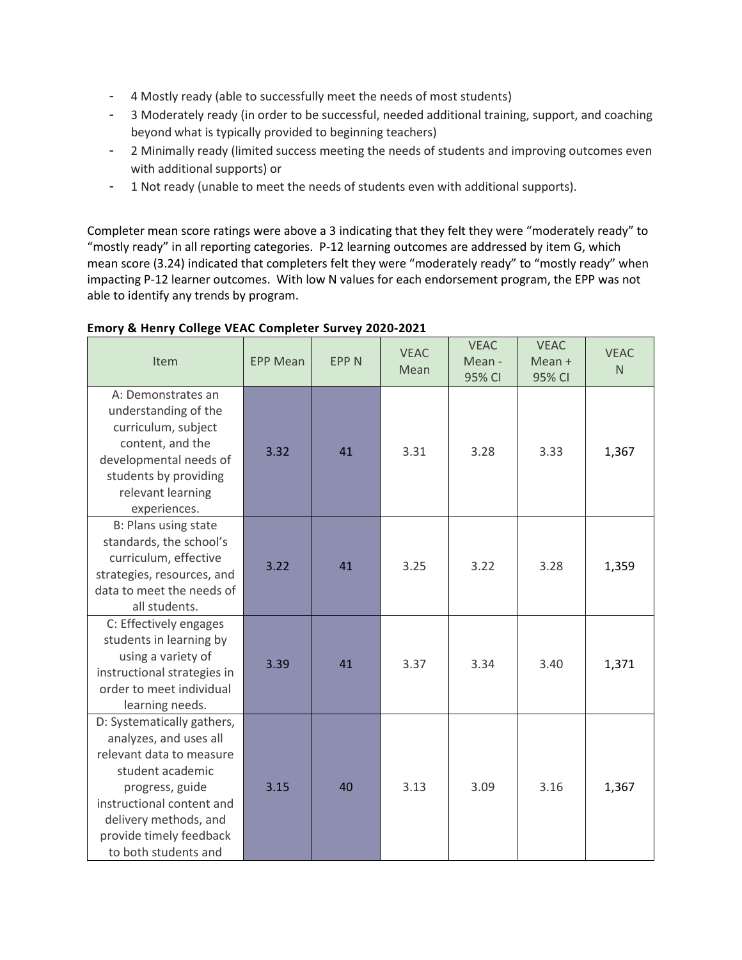- 4 Mostly ready (able to successfully meet the needs of most students)
- 3 Moderately ready (in order to be successful, needed additional training, support, and coaching beyond what is typically provided to beginning teachers)
- 2 Minimally ready (limited success meeting the needs of students and improving outcomes even with additional supports) or
- 1 Not ready (unable to meet the needs of students even with additional supports).

Completer mean score ratings were above a 3 indicating that they felt they were "moderately ready" to "mostly ready" in all reporting categories. P-12 learning outcomes are addressed by item G, which mean score (3.24) indicated that completers felt they were "moderately ready" to "mostly ready" when impacting P-12 learner outcomes.With low N values for each endorsement program, the EPP was not able to identify any trends by program.

| ----o- ---<br>Item                                                                                                                                                                                                               | <b>EPP Mean</b> | <b>EPPN</b> | <b>VEAC</b><br>Mean | <b>VEAC</b><br>Mean -<br>95% CI | <b>VEAC</b><br>Mean +<br>95% CI | <b>VEAC</b><br>N |
|----------------------------------------------------------------------------------------------------------------------------------------------------------------------------------------------------------------------------------|-----------------|-------------|---------------------|---------------------------------|---------------------------------|------------------|
| A: Demonstrates an<br>understanding of the<br>curriculum, subject<br>content, and the<br>developmental needs of<br>students by providing<br>relevant learning<br>experiences.                                                    | 3.32            | 41          | 3.31                | 3.28                            | 3.33                            | 1,367            |
| B: Plans using state<br>standards, the school's<br>curriculum, effective<br>strategies, resources, and<br>data to meet the needs of<br>all students.                                                                             | 3.22            | 41          | 3.25                | 3.22                            | 3.28                            | 1,359            |
| C: Effectively engages<br>students in learning by<br>using a variety of<br>instructional strategies in<br>order to meet individual<br>learning needs.                                                                            | 3.39            | 41          | 3.37                | 3.34                            | 3.40                            | 1,371            |
| D: Systematically gathers,<br>analyzes, and uses all<br>relevant data to measure<br>student academic<br>progress, guide<br>instructional content and<br>delivery methods, and<br>provide timely feedback<br>to both students and | 3.15            | 40          | 3.13                | 3.09                            | 3.16                            | 1,367            |

### **Emory & Henry College VEAC Completer Survey 2020-2021**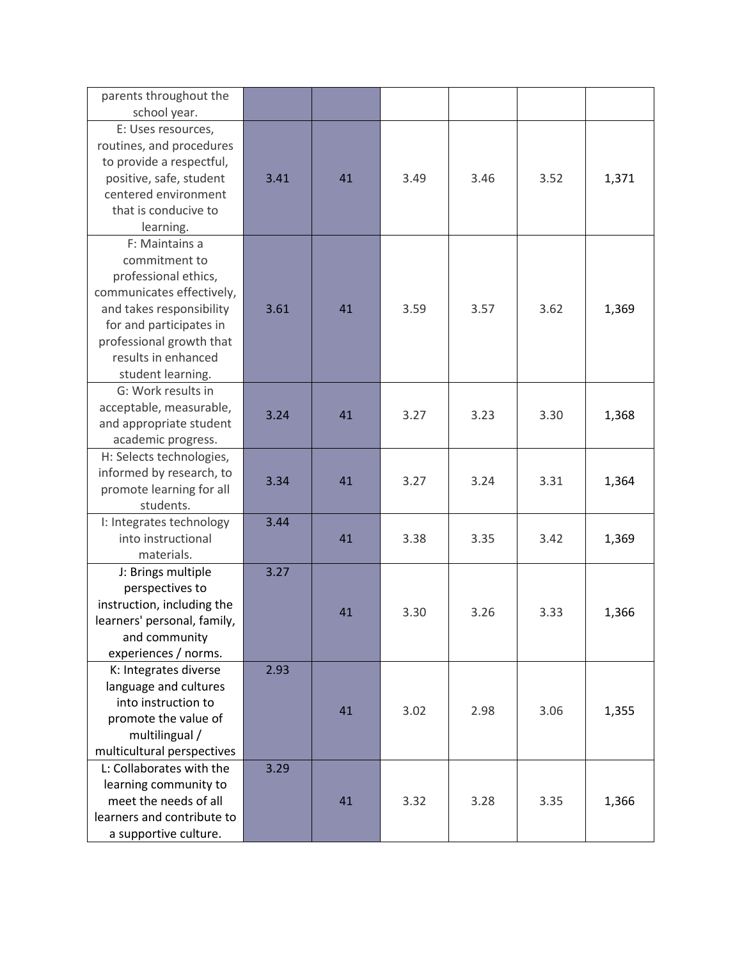| parents throughout the<br>school year.                                                                                                                                                                              |      |    |      |      |      |       |
|---------------------------------------------------------------------------------------------------------------------------------------------------------------------------------------------------------------------|------|----|------|------|------|-------|
| E: Uses resources,<br>routines, and procedures<br>to provide a respectful,<br>positive, safe, student<br>centered environment<br>that is conducive to<br>learning.                                                  | 3.41 | 41 | 3.49 | 3.46 | 3.52 | 1,371 |
| F: Maintains a<br>commitment to<br>professional ethics,<br>communicates effectively,<br>and takes responsibility<br>for and participates in<br>professional growth that<br>results in enhanced<br>student learning. | 3.61 | 41 | 3.59 | 3.57 | 3.62 | 1,369 |
| G: Work results in<br>acceptable, measurable,<br>and appropriate student<br>academic progress.                                                                                                                      | 3.24 | 41 | 3.27 | 3.23 | 3.30 | 1,368 |
| H: Selects technologies,<br>informed by research, to<br>promote learning for all<br>students.                                                                                                                       | 3.34 | 41 | 3.27 | 3.24 | 3.31 | 1,364 |
| I: Integrates technology<br>into instructional<br>materials.                                                                                                                                                        | 3.44 | 41 | 3.38 | 3.35 | 3.42 | 1,369 |
| J: Brings multiple<br>perspectives to<br>instruction, including the<br>learners' personal, family,<br>and community<br>experiences / norms.                                                                         | 3.27 | 41 | 3.30 | 3.26 | 3.33 | 1,366 |
| K: Integrates diverse<br>language and cultures<br>into instruction to<br>promote the value of<br>multilingual /<br>multicultural perspectives                                                                       | 2.93 | 41 | 3.02 | 2.98 | 3.06 | 1,355 |
| L: Collaborates with the<br>learning community to<br>meet the needs of all<br>learners and contribute to<br>a supportive culture.                                                                                   | 3.29 | 41 | 3.32 | 3.28 | 3.35 | 1,366 |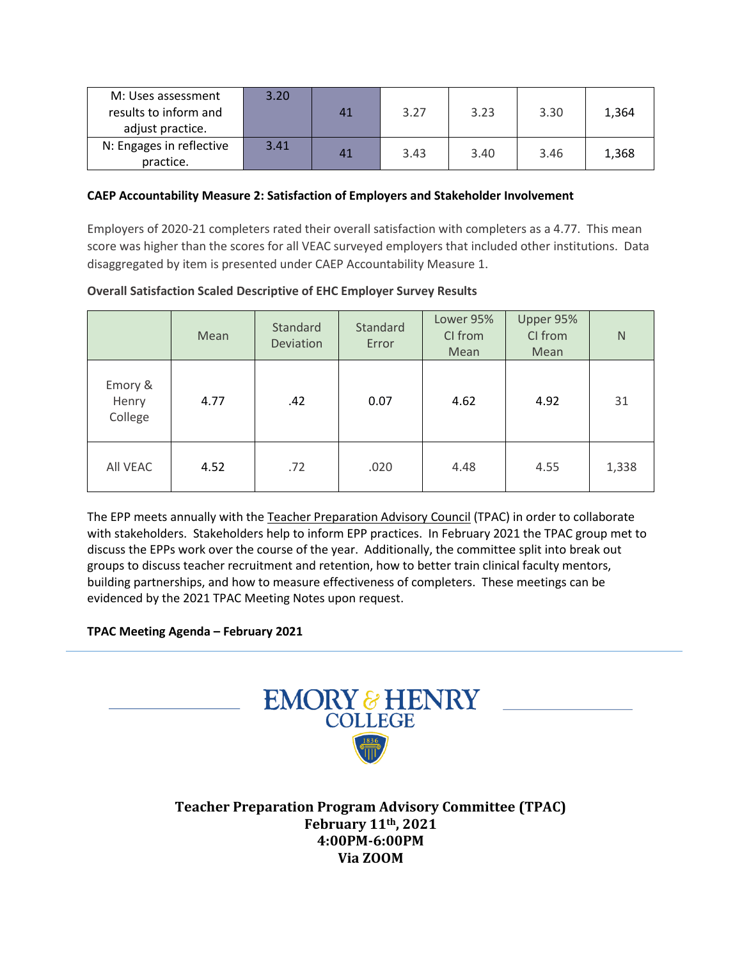| M: Uses assessment       | 3.20 |    |      |      |      |       |
|--------------------------|------|----|------|------|------|-------|
| results to inform and    |      | 41 | 3.27 | 3.23 | 3.30 | 1,364 |
| adjust practice.         |      |    |      |      |      |       |
| N: Engages in reflective | 3.41 | 41 | 3.43 | 3.40 | 3.46 | 1,368 |
| practice.                |      |    |      |      |      |       |

#### **CAEP Accountability Measure 2: Satisfaction of Employers and Stakeholder Involvement**

Employers of 2020-21 completers rated their overall satisfaction with completers as a 4.77. This mean score was higher than the scores for all VEAC surveyed employers that included other institutions. Data disaggregated by item is presented under CAEP Accountability Measure 1.

**Overall Satisfaction Scaled Descriptive of EHC Employer Survey Results**

|                             | Mean | Standard<br><b>Deviation</b> | Standard<br>Error | Lower 95%<br>CI from<br>Mean | Upper 95%<br>CI from<br>Mean | N     |
|-----------------------------|------|------------------------------|-------------------|------------------------------|------------------------------|-------|
| Emory &<br>Henry<br>College | 4.77 | .42                          | 0.07              | 4.62                         | 4.92                         | 31    |
| All VEAC                    | 4.52 | .72                          | .020              | 4.48                         | 4.55                         | 1,338 |

The EPP meets annually with the Teacher Preparation Advisory Council (TPAC) in order to collaborate with stakeholders. Stakeholders help to inform EPP practices. In February 2021 the TPAC group met to discuss the EPPs work over the course of the year. Additionally, the committee split into break out groups to discuss teacher recruitment and retention, how to better train clinical faculty mentors, building partnerships, and how to measure effectiveness of completers. These meetings can be evidenced by the 2021 TPAC Meeting Notes upon request.

#### **TPAC Meeting Agenda – February 2021**



**Teacher Preparation Program Advisory Committee (TPAC) February 11th, 2021 4:00PM-6:00PM Via ZOOM**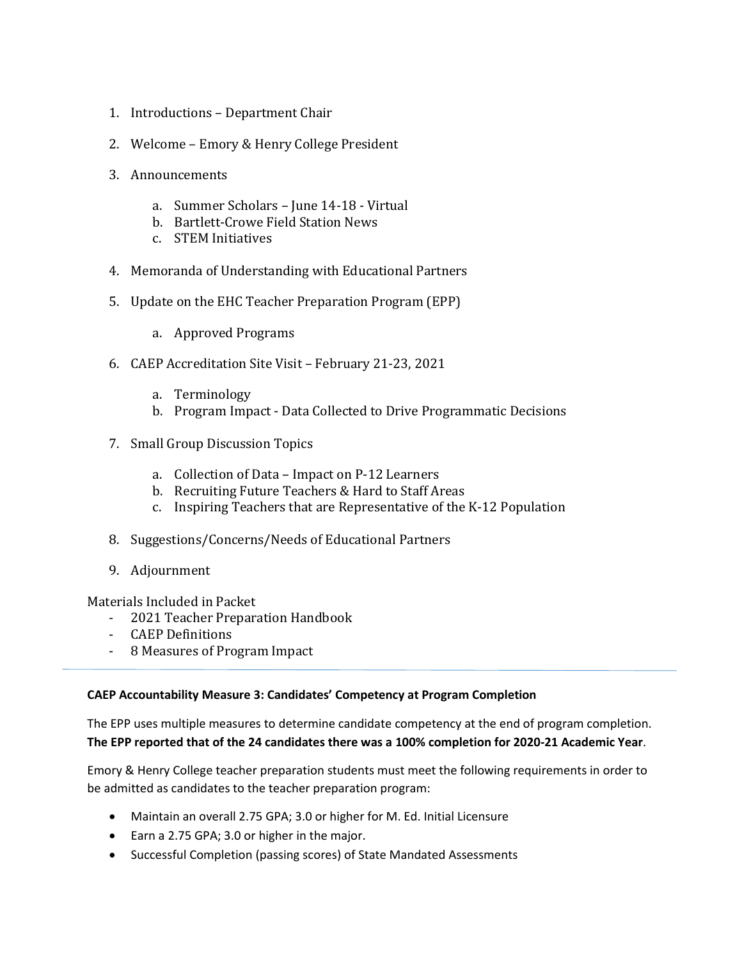- 1. Introductions Department Chair
- 2. Welcome Emory & Henry College President
- 3. Announcements
	- a. Summer Scholars June 14-18 Virtual
	- b. Bartlett-Crowe Field Station News
	- c. STEM Initiatives
- 4. Memoranda of Understanding with Educational Partners
- 5. Update on the EHC Teacher Preparation Program (EPP)
	- a. Approved Programs
- 6. CAEP Accreditation Site Visit February 21-23, 2021
	- a. Terminology
	- b. Program Impact Data Collected to Drive Programmatic Decisions
- 7. Small Group Discussion Topics
	- a. Collection of Data Impact on P-12 Learners
	- b. Recruiting Future Teachers & Hard to Staff Areas
	- c. Inspiring Teachers that are Representative of the K-12 Population
- 8. Suggestions/Concerns/Needs of Educational Partners
- 9. Adjournment

Materials Included in Packet

- 2021 Teacher Preparation Handbook
- CAEP Definitions
- 8 Measures of Program Impact

## **CAEP Accountability Measure 3: Candidates' Competency at Program Completion**

The EPP uses multiple measures to determine candidate competency at the end of program completion. **The EPP reported that of the 24 candidates there was a 100% completion for 2020-21 Academic Year**.

Emory & Henry College teacher preparation students must meet the following requirements in order to be admitted as candidates to the teacher preparation program:

- Maintain an overall 2.75 GPA; 3.0 or higher for M. Ed. Initial Licensure
- Earn a 2.75 GPA; 3.0 or higher in the major.
- Successful Completion (passing scores) of State Mandated Assessments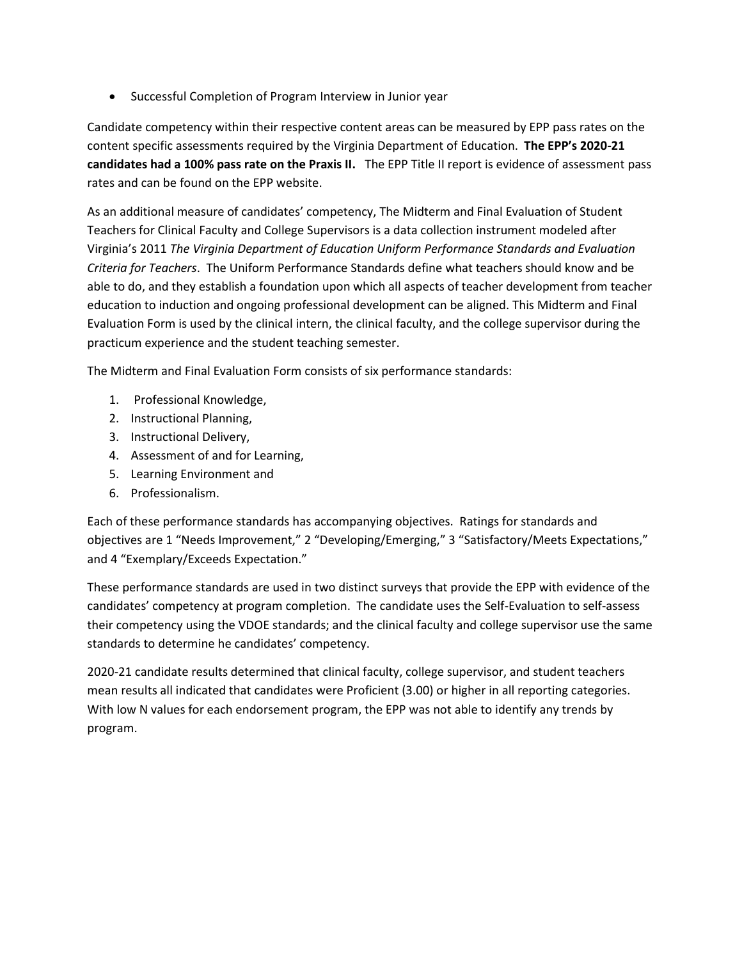Successful Completion of Program Interview in Junior year

Candidate competency within their respective content areas can be measured by EPP pass rates on the content specific assessments required by the Virginia Department of Education. **The EPP's 2020-21 candidates had a 100% pass rate on the Praxis II.** The EPP Title II report is evidence of assessment pass rates and can be found on the EPP website.

As an additional measure of candidates' competency, The Midterm and Final Evaluation of Student Teachers for Clinical Faculty and College Supervisors is a data collection instrument modeled after Virginia's 2011 *The Virginia Department of Education Uniform Performance Standards and Evaluation Criteria for Teachers*. The Uniform Performance Standards define what teachers should know and be able to do, and they establish a foundation upon which all aspects of teacher development from teacher education to induction and ongoing professional development can be aligned. This Midterm and Final Evaluation Form is used by the clinical intern, the clinical faculty, and the college supervisor during the practicum experience and the student teaching semester.

The Midterm and Final Evaluation Form consists of six performance standards:

- 1. Professional Knowledge,
- 2. Instructional Planning,
- 3. Instructional Delivery,
- 4. Assessment of and for Learning,
- 5. Learning Environment and
- 6. Professionalism.

Each of these performance standards has accompanying objectives. Ratings for standards and objectives are 1 "Needs Improvement," 2 "Developing/Emerging," 3 "Satisfactory/Meets Expectations," and 4 "Exemplary/Exceeds Expectation."

These performance standards are used in two distinct surveys that provide the EPP with evidence of the candidates' competency at program completion. The candidate uses the Self-Evaluation to self-assess their competency using the VDOE standards; and the clinical faculty and college supervisor use the same standards to determine he candidates' competency.

2020-21 candidate results determined that clinical faculty, college supervisor, and student teachers mean results all indicated that candidates were Proficient (3.00) or higher in all reporting categories. With low N values for each endorsement program, the EPP was not able to identify any trends by program.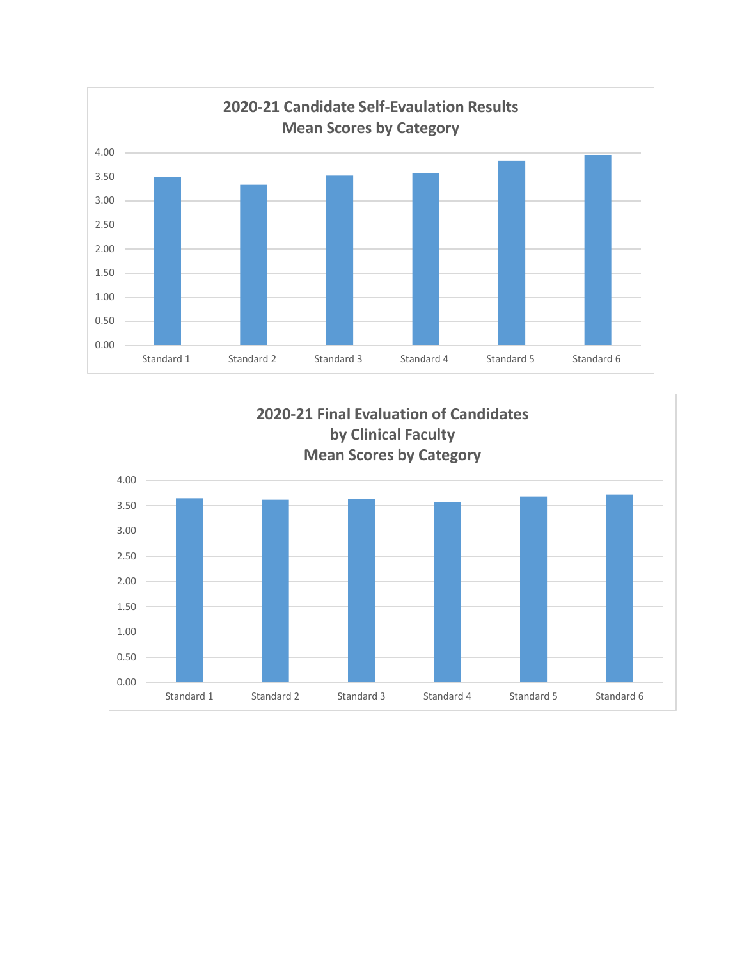

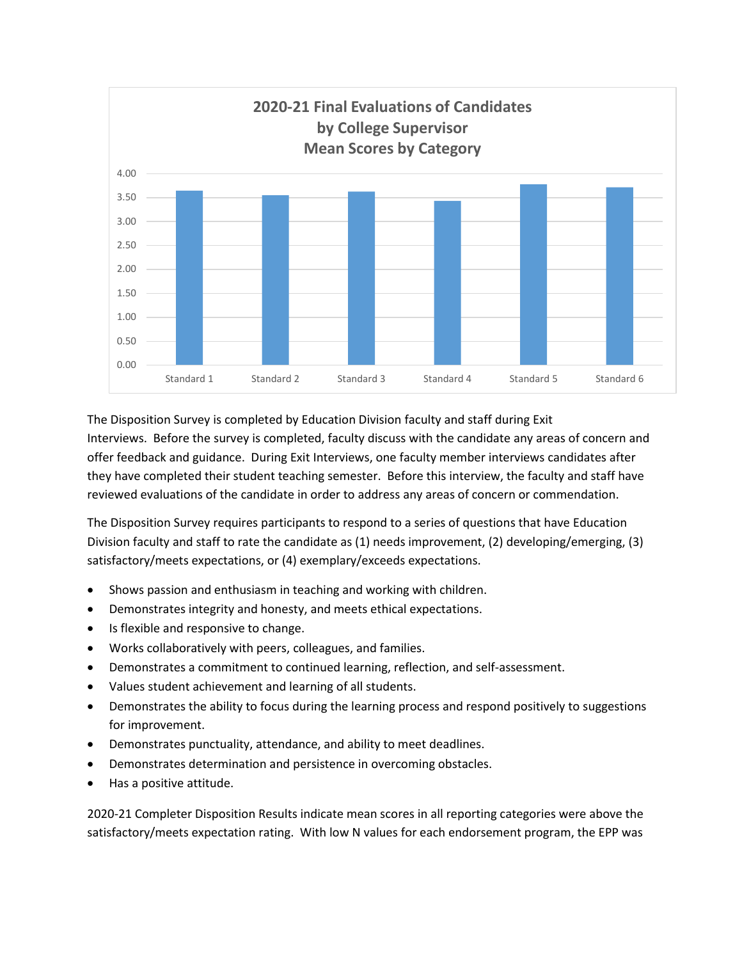

The Disposition Survey is completed by Education Division faculty and staff during Exit Interviews. Before the survey is completed, faculty discuss with the candidate any areas of concern and offer feedback and guidance. During Exit Interviews, one faculty member interviews candidates after they have completed their student teaching semester. Before this interview, the faculty and staff have reviewed evaluations of the candidate in order to address any areas of concern or commendation.

The Disposition Survey requires participants to respond to a series of questions that have Education Division faculty and staff to rate the candidate as (1) needs improvement, (2) developing/emerging, (3) satisfactory/meets expectations, or (4) exemplary/exceeds expectations.

- Shows passion and enthusiasm in teaching and working with children.
- Demonstrates integrity and honesty, and meets ethical expectations.
- Is flexible and responsive to change.
- Works collaboratively with peers, colleagues, and families.
- Demonstrates a commitment to continued learning, reflection, and self-assessment.
- Values student achievement and learning of all students.
- Demonstrates the ability to focus during the learning process and respond positively to suggestions for improvement.
- Demonstrates punctuality, attendance, and ability to meet deadlines.
- Demonstrates determination and persistence in overcoming obstacles.
- Has a positive attitude.

2020-21 Completer Disposition Results indicate mean scores in all reporting categories were above the satisfactory/meets expectation rating. With low N values for each endorsement program, the EPP was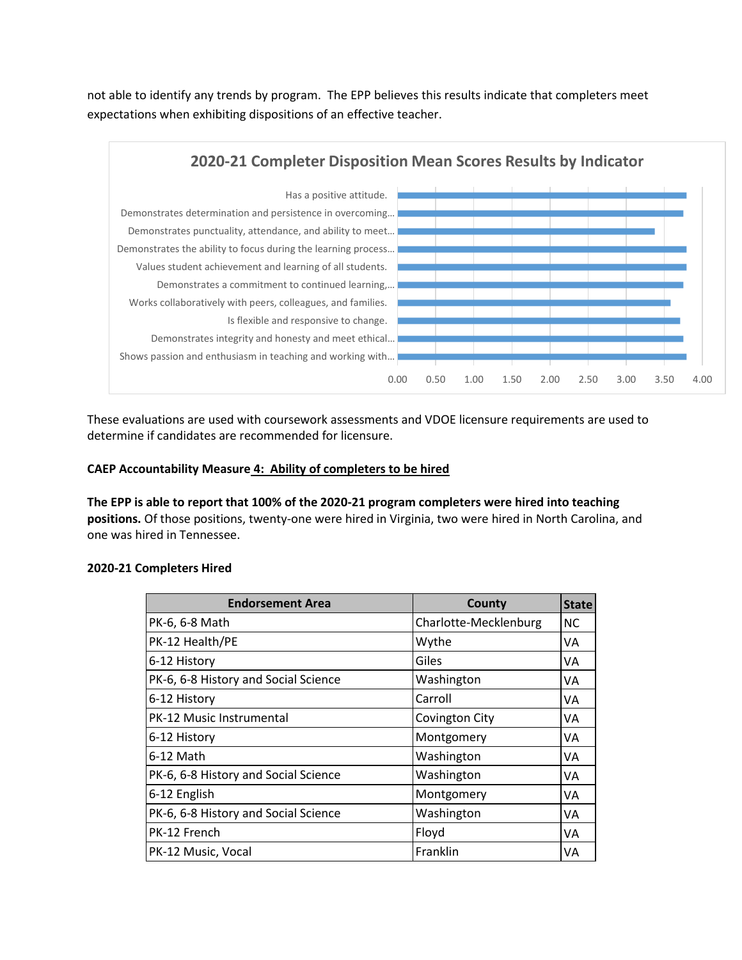not able to identify any trends by program. The EPP believes this results indicate that completers meet expectations when exhibiting dispositions of an effective teacher.



These evaluations are used with coursework assessments and VDOE licensure requirements are used to determine if candidates are recommended for licensure.

### **CAEP Accountability Measure 4: Ability of completers to be hired**

**The EPP is able to report that 100% of the 2020-21 program completers were hired into teaching positions.** Of those positions, twenty-one were hired in Virginia, two were hired in North Carolina, and one was hired in Tennessee.

| <b>Endorsement Area</b>              | County                | <b>State</b> |
|--------------------------------------|-----------------------|--------------|
| PK-6, 6-8 Math                       | Charlotte-Mecklenburg | <b>NC</b>    |
| PK-12 Health/PE                      | Wythe                 | VA           |
| 6-12 History                         | Giles                 | VA           |
| PK-6, 6-8 History and Social Science | Washington            | VA           |
| 6-12 History                         | Carroll               | VA           |
| <b>PK-12 Music Instrumental</b>      | <b>Covington City</b> | VA           |
| 6-12 History                         | Montgomery            | VA           |
| 6-12 Math                            | Washington            | VA           |
| PK-6, 6-8 History and Social Science | Washington            | VA           |
| 6-12 English                         | Montgomery            | VA           |
| PK-6, 6-8 History and Social Science | Washington            | VA           |
| PK-12 French                         | Floyd                 | VA           |
| PK-12 Music, Vocal                   | Franklin              | VA           |

#### **2020-21 Completers Hired**